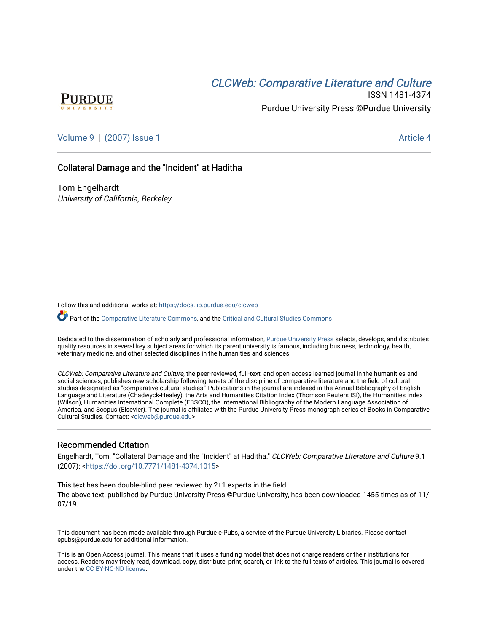# CLCW[eb: Comparative Liter](https://docs.lib.purdue.edu/clcweb)ature and Culture



ISSN 1481-4374 Purdue University Press ©Purdue University

[Volume 9](https://docs.lib.purdue.edu/clcweb/vol9) | [\(2007\) Issue 1](https://docs.lib.purdue.edu/clcweb/vol9/iss1) Article 4

## Collateral Damage and the "Incident" at Haditha

Tom Engelhardt University of California, Berkeley

Follow this and additional works at: [https://docs.lib.purdue.edu/clcweb](https://docs.lib.purdue.edu/clcweb?utm_source=docs.lib.purdue.edu%2Fclcweb%2Fvol9%2Fiss1%2F4&utm_medium=PDF&utm_campaign=PDFCoverPages)

Part of the [Comparative Literature Commons,](http://network.bepress.com/hgg/discipline/454?utm_source=docs.lib.purdue.edu%2Fclcweb%2Fvol9%2Fiss1%2F4&utm_medium=PDF&utm_campaign=PDFCoverPages) and the Critical and Cultural Studies Commons

Dedicated to the dissemination of scholarly and professional information, [Purdue University Press](http://www.thepress.purdue.edu/) selects, develops, and distributes quality resources in several key subject areas for which its parent university is famous, including business, technology, health, veterinary medicine, and other selected disciplines in the humanities and sciences.

CLCWeb: Comparative Literature and Culture, the peer-reviewed, full-text, and open-access learned journal in the humanities and social sciences, publishes new scholarship following tenets of the discipline of comparative literature and the field of cultural studies designated as "comparative cultural studies." Publications in the journal are indexed in the Annual Bibliography of English Language and Literature (Chadwyck-Healey), the Arts and Humanities Citation Index (Thomson Reuters ISI), the Humanities Index (Wilson), Humanities International Complete (EBSCO), the International Bibliography of the Modern Language Association of America, and Scopus (Elsevier). The journal is affiliated with the Purdue University Press monograph series of Books in Comparative Cultural Studies. Contact: [<clcweb@purdue.edu](mailto:clcweb@purdue.edu)>

# Recommended Citation

Engelhardt, Tom. "Collateral Damage and the "Incident" at Haditha." CLCWeb: Comparative Literature and Culture 9.1 (2007): [<https://doi.org/10.7771/1481-4374.1015](https://doi.org/10.7771/1481-4374.1015)>

This text has been double-blind peer reviewed by 2+1 experts in the field. The above text, published by Purdue University Press ©Purdue University, has been downloaded 1455 times as of 11/ 07/19.

This document has been made available through Purdue e-Pubs, a service of the Purdue University Libraries. Please contact epubs@purdue.edu for additional information.

This is an Open Access journal. This means that it uses a funding model that does not charge readers or their institutions for access. Readers may freely read, download, copy, distribute, print, search, or link to the full texts of articles. This journal is covered under the [CC BY-NC-ND license.](https://creativecommons.org/licenses/by-nc-nd/4.0/)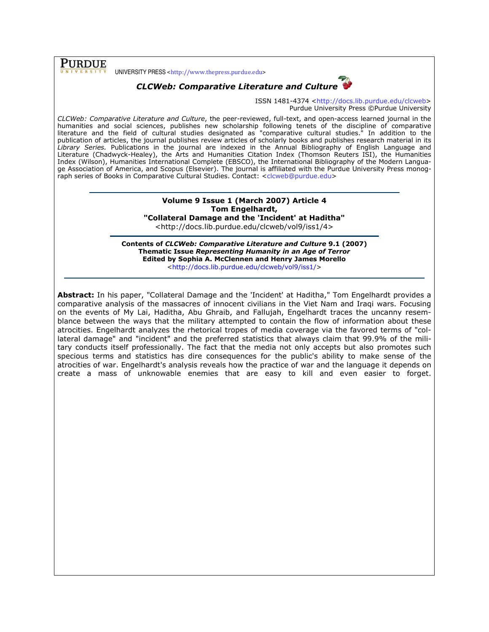**PURDUE** 

UNIVERSITY PRESS <http://www.thepress.purdue.edu>



ISSN 1481-4374 <http://docs.lib.purdue.edu/clcweb> Purdue University Press ©Purdue University

CLCWeb: Comparative Literature and Culture, the peer-reviewed, full-text, and open-access learned journal in the humanities and social sciences, publishes new scholarship following tenets of the discipline of comparative literature and the field of cultural studies designated as "comparative cultural studies." In addition to the publication of articles, the journal publishes review articles of scholarly books and publishes research material in its Library Series. Publications in the journal are indexed in the Annual Bibliography of English Language and Literature (Chadwyck-Healey), the Arts and Humanities Citation Index (Thomson Reuters ISI), the Humanities Index (Wilson), Humanities International Complete (EBSCO), the International Bibliography of the Modern Language Association of America, and Scopus (Elsevier). The journal is affiliated with the Purdue University Press monograph series of Books in Comparative Cultural Studies. Contact: <clcweb@purdue.edu>

# Volume 9 Issue 1 (March 2007) Article 4 Tom Engelhardt, "Collateral Damage and the 'Incident' at Haditha"

<http://docs.lib.purdue.edu/clcweb/vol9/iss1/4>

Contents of CLCWeb: Comparative Literature and Culture 9.1 (2007) Thematic Issue Representing Humanity in an Age of Terror Edited by Sophia A. McClennen and Henry James Morello <http://docs.lib.purdue.edu/clcweb/vol9/iss1/>

Abstract: In his paper, "Collateral Damage and the 'Incident' at Haditha," Tom Engelhardt provides a comparative analysis of the massacres of innocent civilians in the Viet Nam and Iraqi wars. Focusing on the events of My Lai, Haditha, Abu Ghraib, and Fallujah, Engelhardt traces the uncanny resemblance between the ways that the military attempted to contain the flow of information about these atrocities. Engelhardt analyzes the rhetorical tropes of media coverage via the favored terms of "collateral damage" and "incident" and the preferred statistics that always claim that 99.9% of the military conducts itself professionally. The fact that the media not only accepts but also promotes such specious terms and statistics has dire consequences for the public's ability to make sense of the atrocities of war. Engelhardt's analysis reveals how the practice of war and the language it depends on create a mass of unknowable enemies that are easy to kill and even easier to forget.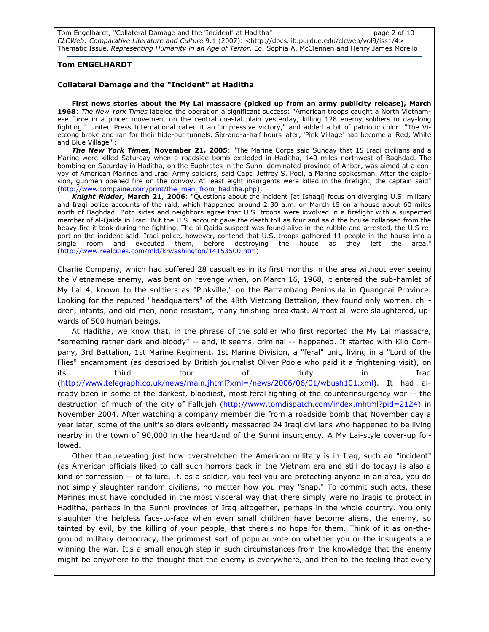Tom Engelhardt, "Collateral Damage and the 'Incident' at Haditha" page 2 of 10 CLCWeb: Comparative Literature and Culture 9.1 (2007): <http://docs.lib.purdue.edu/clcweb/vol9/iss1/4> Thematic Issue, Representing Humanity in an Age of Terror. Ed. Sophia A. McClennen and Henry James Morello

### Tom ENGELHARDT

### Collateral Damage and the "Incident" at Haditha

 First news stories about the My Lai massacre (picked up from an army publicity release), March 1968: The New York Times labeled the operation a significant success: "American troops caught a North Vietnamese force in a pincer movement on the central coastal plain yesterday, killing 128 enemy soldiers in day-long fighting." United Press International called it an "impressive victory," and added a bit of patriotic color: "The Vietcong broke and ran for their hide-out tunnels. Six-and-a-half hours later, 'Pink Village' had become a 'Red, White and Blue Village'";

The New York Times, November 21, 2005: "The Marine Corps said Sunday that 15 Iraqi civilians and a Marine were killed Saturday when a roadside bomb exploded in Haditha, 140 miles northwest of Baghdad. The bombing on Saturday in Haditha, on the Euphrates in the Sunni-dominated province of Anbar, was aimed at a convoy of American Marines and Iraqi Army soldiers, said Capt. Jeffrey S. Pool, a Marine spokesman. After the explosion, gunmen opened fire on the convoy. At least eight insurgents were killed in the firefight, the captain said" (http://www.tompaine.com/print/the\_man\_from\_haditha.php);

Knight Ridder, March 21, 2006: "Questions about the incident [at Ishaqi] focus on diverging U.S. military and Iraqi police accounts of the raid, which happened around 2:30 a.m. on March 15 on a house about 60 miles north of Baghdad. Both sides and neighbors agree that U.S. troops were involved in a firefight with a suspected member of al-Qaida in Iraq. But the U.S. account gave the death toll as four and said the house collapsed from the heavy fire it took during the fighting. The al-Qaida suspect was found alive in the rubble and arrested, the U.S report on the incident said. Iraqi police, however, contend that U.S. troops gathered 11 people in the house into a single room and executed them, before destroying the house as they left the area." (http://www.realcities.com/mld/krwashington/14153500.htm)

Charlie Company, which had suffered 28 casualties in its first months in the area without ever seeing the Vietnamese enemy, was bent on revenge when, on March 16, 1968, it entered the sub-hamlet of My Lai 4, known to the soldiers as "Pinkville," on the Battambang Peninsula in Quangnai Province. Looking for the reputed "headquarters" of the 48th Vietcong Battalion, they found only women, children, infants, and old men, none resistant, many finishing breakfast. Almost all were slaughtered, upwards of 500 human beings.

At Haditha, we know that, in the phrase of the soldier who first reported the My Lai massacre, "something rather dark and bloody" -- and, it seems, criminal -- happened. It started with Kilo Company, 3rd Battalion, 1st Marine Regiment, 1st Marine Division, a "feral" unit, living in a "Lord of the Flies" encampment (as described by British journalist Oliver Poole who paid it a frightening visit), on its third tour of duty in Iraq (http://www.telegraph.co.uk/news/main.jhtml?xml=/news/2006/06/01/wbush101.xml). It had already been in some of the darkest, bloodiest, most feral fighting of the counterinsurgency war -- the destruction of much of the city of Fallujah (http://www.tomdispatch.com/index.mhtml?pid=2124) in November 2004. After watching a company member die from a roadside bomb that November day a year later, some of the unit's soldiers evidently massacred 24 Iraqi civilians who happened to be living nearby in the town of 90,000 in the heartland of the Sunni insurgency. A My Lai-style cover-up followed.

Other than revealing just how overstretched the American military is in Iraq, such an "incident" (as American officials liked to call such horrors back in the Vietnam era and still do today) is also a kind of confession -- of failure. If, as a soldier, you feel you are protecting anyone in an area, you do not simply slaughter random civilians, no matter how you may "snap." To commit such acts, these Marines must have concluded in the most visceral way that there simply were no Iraqis to protect in Haditha, perhaps in the Sunni provinces of Iraq altogether, perhaps in the whole country. You only slaughter the helpless face-to-face when even small children have become aliens, the enemy, so tainted by evil, by the killing of your people, that there's no hope for them. Think of it as on-theground military democracy, the grimmest sort of popular vote on whether you or the insurgents are winning the war. It's a small enough step in such circumstances from the knowledge that the enemy might be anywhere to the thought that the enemy is everywhere, and then to the feeling that every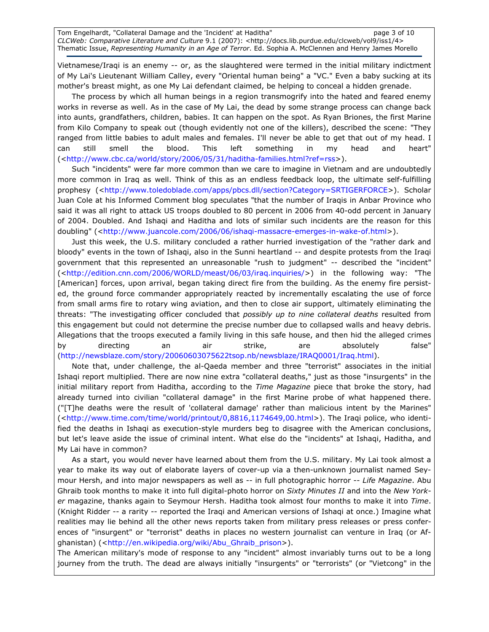Tom Engelhardt, "Collateral Damage and the 'Incident' at Haditha" bage 3 of 10 CLCWeb: Comparative Literature and Culture 9.1 (2007): <http://docs.lib.purdue.edu/clcweb/vol9/iss1/4> Thematic Issue, Representing Humanity in an Age of Terror. Ed. Sophia A. McClennen and Henry James Morello

Vietnamese/Iraqi is an enemy -- or, as the slaughtered were termed in the initial military indictment of My Lai's Lieutenant William Calley, every "Oriental human being" a "VC." Even a baby sucking at its mother's breast might, as one My Lai defendant claimed, be helping to conceal a hidden grenade.

The process by which all human beings in a region transmogrify into the hated and feared enemy works in reverse as well. As in the case of My Lai, the dead by some strange process can change back into aunts, grandfathers, children, babies. It can happen on the spot. As Ryan Briones, the first Marine from Kilo Company to speak out (though evidently not one of the killers), described the scene: "They ranged from little babies to adult males and females. I'll never be able to get that out of my head. I can still smell the blood. This left something in my head and heart" (<http://www.cbc.ca/world/story/2006/05/31/haditha-families.html?ref=rss>).

Such "incidents" were far more common than we care to imagine in Vietnam and are undoubtedly more common in Iraq as well. Think of this as an endless feedback loop, the ultimate self-fulfilling prophesy (<http://www.toledoblade.com/apps/pbcs.dll/section?Category=SRTIGERFORCE>). Scholar Juan Cole at his Informed Comment blog speculates "that the number of Iraqis in Anbar Province who said it was all right to attack US troops doubled to 80 percent in 2006 from 40-odd percent in January of 2004. Doubled. And Ishaqi and Haditha and lots of similar such incidents are the reason for this doubling" (<http://www.juancole.com/2006/06/ishaqi-massacre-emerges-in-wake-of.html>).

Just this week, the U.S. military concluded a rather hurried investigation of the "rather dark and bloody" events in the town of Ishaqi, also in the Sunni heartland -- and despite protests from the Iraqi government that this represented an unreasonable "rush to judgment" -- described the "incident" (<http://edition.cnn.com/2006/WORLD/meast/06/03/iraq.inquiries/>) in the following way: "The [American] forces, upon arrival, began taking direct fire from the building. As the enemy fire persisted, the ground force commander appropriately reacted by incrementally escalating the use of force from small arms fire to rotary wing aviation, and then to close air support, ultimately eliminating the threats: "The investigating officer concluded that possibly up to nine collateral deaths resulted from this engagement but could not determine the precise number due to collapsed walls and heavy debris. Allegations that the troops executed a family living in this safe house, and then hid the alleged crimes by directing an air strike, are absolutely false" (http://newsblaze.com/story/20060603075622tsop.nb/newsblaze/IRAQ0001/Iraq.html).

Note that, under challenge, the al-Qaeda member and three "terrorist" associates in the initial Ishaqi report multiplied. There are now nine extra "collateral deaths," just as those "insurgents" in the initial military report from Haditha, according to the Time Magazine piece that broke the story, had already turned into civilian "collateral damage" in the first Marine probe of what happened there. ("[T]he deaths were the result of 'collateral damage' rather than malicious intent by the Marines" (<http://www.time.com/time/world/printout/0,8816,1174649,00.html>). The Iraqi police, who identified the deaths in Ishaqi as execution-style murders beg to disagree with the American conclusions, but let's leave aside the issue of criminal intent. What else do the "incidents" at Ishaqi, Haditha, and My Lai have in common?

As a start, you would never have learned about them from the U.S. military. My Lai took almost a year to make its way out of elaborate layers of cover-up via a then-unknown journalist named Seymour Hersh, and into major newspapers as well as -- in full photographic horror -- Life Magazine. Abu Ghraib took months to make it into full digital-photo horror on Sixty Minutes II and into the New Yorker magazine, thanks again to Seymour Hersh. Haditha took almost four months to make it into Time. (Knight Ridder -- a rarity -- reported the Iraqi and American versions of Ishaqi at once.) Imagine what realities may lie behind all the other news reports taken from military press releases or press conferences of "insurgent" or "terrorist" deaths in places no western journalist can venture in Iraq (or Afghanistan) (<http://en.wikipedia.org/wiki/Abu\_Ghraib\_prison>).

The American military's mode of response to any "incident" almost invariably turns out to be a long journey from the truth. The dead are always initially "insurgents" or "terrorists" (or "Vietcong" in the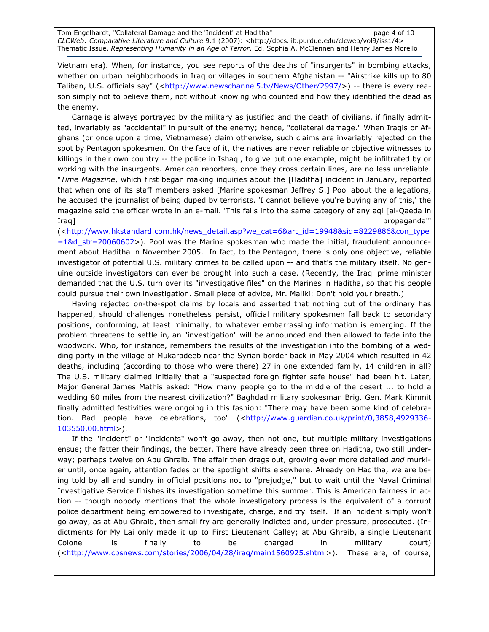Vietnam era). When, for instance, you see reports of the deaths of "insurgents" in bombing attacks, whether on urban neighborhoods in Iraq or villages in southern Afghanistan -- "Airstrike kills up to 80 Taliban, U.S. officials say" (<http://www.newschannel5.tv/News/Other/2997/>) -- there is every reason simply not to believe them, not without knowing who counted and how they identified the dead as the enemy.

Carnage is always portrayed by the military as justified and the death of civilians, if finally admitted, invariably as "accidental" in pursuit of the enemy; hence, "collateral damage." When Iraqis or Afghans (or once upon a time, Vietnamese) claim otherwise, such claims are invariably rejected on the spot by Pentagon spokesmen. On the face of it, the natives are never reliable or objective witnesses to killings in their own country -- the police in Ishaqi, to give but one example, might be infiltrated by or working with the insurgents. American reporters, once they cross certain lines, are no less unreliable. "Time Magazine, which first began making inquiries about the [Haditha] incident in January, reported that when one of its staff members asked [Marine spokesman Jeffrey S.] Pool about the allegations, he accused the journalist of being duped by terrorists. 'I cannot believe you're buying any of this,' the magazine said the officer wrote in an e-mail. 'This falls into the same category of any aqi [al-Qaeda in Iraq] propaganda'"

(<http://www.hkstandard.com.hk/news\_detail.asp?we\_cat=6&art\_id=19948&sid=8229886&con\_type =1&d\_str=20060602>). Pool was the Marine spokesman who made the initial, fraudulent announcement about Haditha in November 2005. In fact, to the Pentagon, there is only one objective, reliable investigator of potential U.S. military crimes to be called upon -- and that's the military itself. No genuine outside investigators can ever be brought into such a case. (Recently, the Iraqi prime minister demanded that the U.S. turn over its "investigative files" on the Marines in Haditha, so that his people could pursue their own investigation. Small piece of advice, Mr. Maliki: Don't hold your breath.)

Having rejected on-the-spot claims by locals and asserted that nothing out of the ordinary has happened, should challenges nonetheless persist, official military spokesmen fall back to secondary positions, conforming, at least minimally, to whatever embarrassing information is emerging. If the problem threatens to settle in, an "investigation" will be announced and then allowed to fade into the woodwork. Who, for instance, remembers the results of the investigation into the bombing of a wedding party in the village of Mukaradeeb near the Syrian border back in May 2004 which resulted in 42 deaths, including (according to those who were there) 27 in one extended family, 14 children in all? The U.S. military claimed initially that a "suspected foreign fighter safe house" had been hit. Later, Major General James Mathis asked: "How many people go to the middle of the desert ... to hold a wedding 80 miles from the nearest civilization?" Baghdad military spokesman Brig. Gen. Mark Kimmit finally admitted festivities were ongoing in this fashion: "There may have been some kind of celebration. Bad people have celebrations, too" (<http://www.guardian.co.uk/print/0,3858,4929336-103550,00.html>).

If the "incident" or "incidents" won't go away, then not one, but multiple military investigations ensue; the fatter their findings, the better. There have already been three on Haditha, two still underway; perhaps twelve on Abu Ghraib. The affair then drags out, growing ever more detailed and murkier until, once again, attention fades or the spotlight shifts elsewhere. Already on Haditha, we are being told by all and sundry in official positions not to "prejudge," but to wait until the Naval Criminal Investigative Service finishes its investigation sometime this summer. This is American fairness in action -- though nobody mentions that the whole investigatory process is the equivalent of a corrupt police department being empowered to investigate, charge, and try itself. If an incident simply won't go away, as at Abu Ghraib, then small fry are generally indicted and, under pressure, prosecuted. (Indictments for My Lai only made it up to First Lieutenant Calley; at Abu Ghraib, a single Lieutenant Colonel is finally to be charged in military court) (<http://www.cbsnews.com/stories/2006/04/28/iraq/main1560925.shtml>). These are, of course,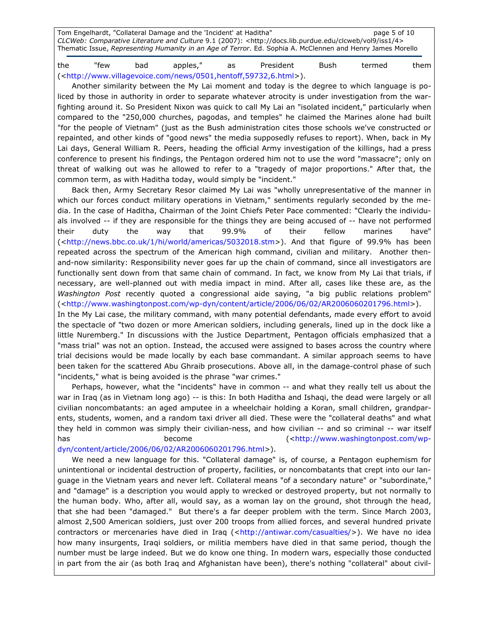Tom Engelhardt, "Collateral Damage and the 'Incident' at Haditha" bage 5 of 10 CLCWeb: Comparative Literature and Culture 9.1 (2007): <http://docs.lib.purdue.edu/clcweb/vol9/iss1/4> Thematic Issue, Representing Humanity in an Age of Terror. Ed. Sophia A. McClennen and Henry James Morello

the "few bad apples," as President Bush termed them (<http://www.villagevoice.com/news/0501,hentoff,59732,6.html>).

Another similarity between the My Lai moment and today is the degree to which language is policed by those in authority in order to separate whatever atrocity is under investigation from the warfighting around it. So President Nixon was quick to call My Lai an "isolated incident," particularly when compared to the "250,000 churches, pagodas, and temples" he claimed the Marines alone had built "for the people of Vietnam" (just as the Bush administration cites those schools we've constructed or repainted, and other kinds of "good news" the media supposedly refuses to report). When, back in My Lai days, General William R. Peers, heading the official Army investigation of the killings, had a press conference to present his findings, the Pentagon ordered him not to use the word "massacre"; only on threat of walking out was he allowed to refer to a "tragedy of major proportions." After that, the common term, as with Haditha today, would simply be "incident."

Back then, Army Secretary Resor claimed My Lai was "wholly unrepresentative of the manner in which our forces conduct military operations in Vietnam," sentiments regularly seconded by the media. In the case of Haditha, Chairman of the Joint Chiefs Peter Pace commented: "Clearly the individuals involved -- if they are responsible for the things they are being accused of -- have not performed their duty the way that 99.9% of their fellow marines have" (<http://news.bbc.co.uk/1/hi/world/americas/5032018.stm>). And that figure of 99.9% has been repeated across the spectrum of the American high command, civilian and military. Another thenand-now similarity: Responsibility never goes far up the chain of command, since all investigators are functionally sent down from that same chain of command. In fact, we know from My Lai that trials, if necessary, are well-planned out with media impact in mind. After all, cases like these are, as the Washington Post recently quoted a congressional aide saying, "a big public relations problem" (<http://www.washingtonpost.com/wp-dyn/content/article/2006/06/02/AR2006060201796.html>). In the My Lai case, the military command, with many potential defendants, made every effort to avoid

the spectacle of "two dozen or more American soldiers, including generals, lined up in the dock like a little Nuremberg." In discussions with the Justice Department, Pentagon officials emphasized that a "mass trial" was not an option. Instead, the accused were assigned to bases across the country where trial decisions would be made locally by each base commandant. A similar approach seems to have been taken for the scattered Abu Ghraib prosecutions. Above all, in the damage-control phase of such "incidents," what is being avoided is the phrase "war crimes."

Perhaps, however, what the "incidents" have in common -- and what they really tell us about the war in Iraq (as in Vietnam long ago) -- is this: In both Haditha and Ishaqi, the dead were largely or all civilian noncombatants: an aged amputee in a wheelchair holding a Koran, small children, grandparents, students, women, and a random taxi driver all died. These were the "collateral deaths" and what they held in common was simply their civilian-ness, and how civilian -- and so criminal -- war itself has become the become that the computation of the computation of the computation of the computation of the computation of the computation of the computation of the computation of the computation of the computation of the c

dyn/content/article/2006/06/02/AR2006060201796.html>).

We need a new language for this. "Collateral damage" is, of course, a Pentagon euphemism for unintentional or incidental destruction of property, facilities, or noncombatants that crept into our language in the Vietnam years and never left. Collateral means "of a secondary nature" or "subordinate," and "damage" is a description you would apply to wrecked or destroyed property, but not normally to the human body. Who, after all, would say, as a woman lay on the ground, shot through the head, that she had been "damaged." But there's a far deeper problem with the term. Since March 2003, almost 2,500 American soldiers, just over 200 troops from allied forces, and several hundred private contractors or mercenaries have died in Iraq (<http://antiwar.com/casualties/>). We have no idea how many insurgents, Iraqi soldiers, or militia members have died in that same period, though the number must be large indeed. But we do know one thing. In modern wars, especially those conducted in part from the air (as both Iraq and Afghanistan have been), there's nothing "collateral" about civil-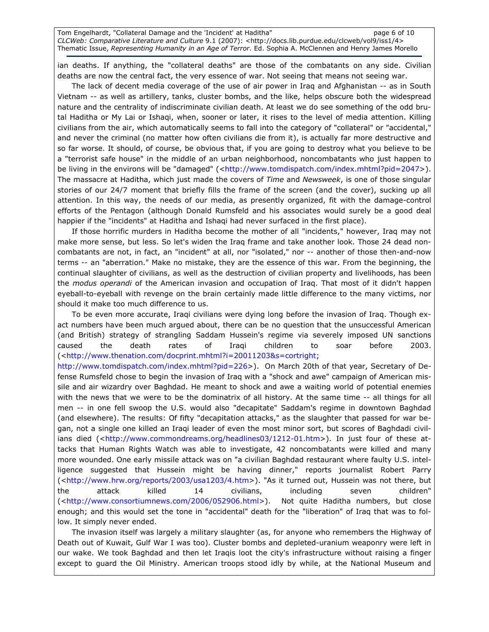Tom Engelhardt, "Collateral Damage and the 'Incident' at Haditha" bage 6 of 10 CLCWeb: Comparative Literature and Culture 9.1 (2007): <http://docs.lib.purdue.edu/clcweb/vol9/iss1/4> Thematic Issue, Representing Humanity in an Age of Terror. Ed. Sophia A. McClennen and Henry James Morello

ian deaths. If anything, the "collateral deaths" are those of the combatants on any side. Civilian deaths are now the central fact, the very essence of war. Not seeing that means not seeing war.

The lack of decent media coverage of the use of air power in Iraq and Afghanistan -- as in South Vietnam -- as well as artillery, tanks, cluster bombs, and the like, helps obscure both the widespread nature and the centrality of indiscriminate civilian death. At least we do see something of the odd brutal Haditha or My Lai or Ishaqi, when, sooner or later, it rises to the level of media attention. Killing civilians from the air, which automatically seems to fall into the category of "collateral" or "accidental," and never the criminal (no matter how often civilians die from it), is actually far more destructive and so far worse. It should, of course, be obvious that, if you are going to destroy what you believe to be a "terrorist safe house" in the middle of an urban neighborhood, noncombatants who just happen to be living in the environs will be "damaged" (<http://www.tomdispatch.com/index.mhtml?pid=2047>). The massacre at Haditha, which just made the covers of Time and Newsweek, is one of those singular stories of our 24/7 moment that briefly fills the frame of the screen (and the cover), sucking up all attention. In this way, the needs of our media, as presently organized, fit with the damage-control efforts of the Pentagon (although Donald Rumsfeld and his associates would surely be a good deal happier if the "incidents" at Haditha and Ishaqi had never surfaced in the first place).

If those horrific murders in Haditha become the mother of all "incidents," however, Iraq may not make more sense, but less. So let's widen the Iraq frame and take another look. Those 24 dead noncombatants are not, in fact, an "incident" at all, nor "isolated," nor -- another of those then-and-now terms -- an "aberration." Make no mistake, they are the essence of this war. From the beginning, the continual slaughter of civilians, as well as the destruction of civilian property and livelihoods, has been the modus operandi of the American invasion and occupation of Iraq. That most of it didn't happen eyeball-to-eyeball with revenge on the brain certainly made little difference to the many victims, nor should it make too much difference to us.

To be even more accurate, Iraqi civilians were dying long before the invasion of Iraq. Though exact numbers have been much argued about, there can be no question that the unsuccessful American (and British) strategy of strangling Saddam Hussein's regime via severely imposed UN sanctions caused the death rates of Iraqi children to soar before 2003. (<http://www.thenation.com/docprint.mhtml?i=20011203&s=cortright;

http://www.tomdispatch.com/index.mhtml?pid=226>). On March 20th of that year, Secretary of Defense Rumsfeld chose to begin the invasion of Iraq with a "shock and awe" campaign of American missile and air wizardry over Baghdad. He meant to shock and awe a waiting world of potential enemies with the news that we were to be the dominatrix of all history. At the same time -- all things for all men -- in one fell swoop the U.S. would also "decapitate" Saddam's regime in downtown Baghdad (and elsewhere). The results: Of fifty "decapitation attacks," as the slaughter that passed for war began, not a single one killed an Iraqi leader of even the most minor sort, but scores of Baghdadi civilians died (<http://www.commondreams.org/headlines03/1212-01.htm>). In just four of these attacks that Human Rights Watch was able to investigate, 42 noncombatants were killed and many more wounded. One early missile attack was on "a civilian Baghdad restaurant where faulty U.S. intelligence suggested that Hussein might be having dinner," reports journalist Robert Parry (<http://www.hrw.org/reports/2003/usa1203/4.htm>). "As it turned out, Hussein was not there, but the attack killed 14 civilians, including seven children" (<http://www.consortiumnews.com/2006/052906.html>). Not quite Haditha numbers, but close enough; and this would set the tone in "accidental" death for the "liberation" of Iraq that was to follow. It simply never ended.

The invasion itself was largely a military slaughter (as, for anyone who remembers the Highway of Death out of Kuwait, Gulf War I was too). Cluster bombs and depleted-uranium weaponry were left in our wake. We took Baghdad and then let Iraqis loot the city's infrastructure without raising a finger except to guard the Oil Ministry. American troops stood idly by while, at the National Museum and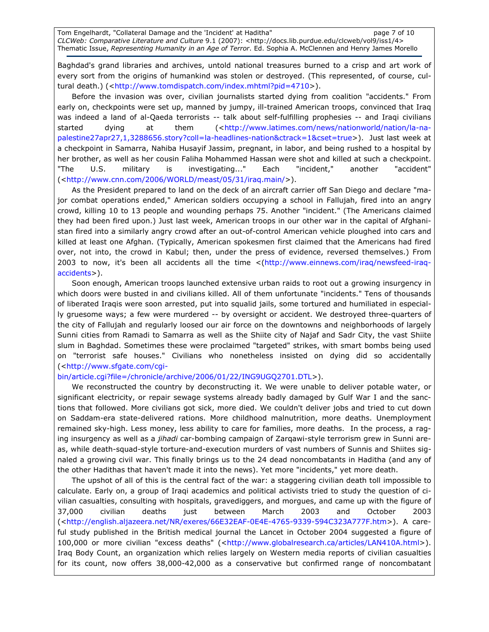Baghdad's grand libraries and archives, untold national treasures burned to a crisp and art work of every sort from the origins of humankind was stolen or destroyed. (This represented, of course, cultural death.) (<http://www.tomdispatch.com/index.mhtml?pid=4710>).

Before the invasion was over, civilian journalists started dying from coalition "accidents." From early on, checkpoints were set up, manned by jumpy, ill-trained American troops, convinced that Iraq was indeed a land of al-Qaeda terrorists -- talk about self-fulfilling prophesies -- and Iraqi civilians started dying at them (<http://www.latimes.com/news/nationworld/nation/la-napalestine27apr27,1,3288656.story?coll=la-headlines-nation&ctrack=1&cset=true>). Just last week at a checkpoint in Samarra, Nahiba Husayif Jassim, pregnant, in labor, and being rushed to a hospital by her brother, as well as her cousin Faliha Mohammed Hassan were shot and killed at such a checkpoint. "The U.S. military is investigating..." Each "incident," another "accident" (<http://www.cnn.com/2006/WORLD/meast/05/31/iraq.main/>).

As the President prepared to land on the deck of an aircraft carrier off San Diego and declare "major combat operations ended," American soldiers occupying a school in Fallujah, fired into an angry crowd, killing 10 to 13 people and wounding perhaps 75. Another "incident." (The Americans claimed they had been fired upon.) Just last week, American troops in our other war in the capital of Afghanistan fired into a similarly angry crowd after an out-of-control American vehicle ploughed into cars and killed at least one Afghan. (Typically, American spokesmen first claimed that the Americans had fired over, not into, the crowd in Kabul; then, under the press of evidence, reversed themselves.) From 2003 to now, it's been all accidents all the time <(http://www.einnews.com/iraq/newsfeed-iraqaccidents>).

Soon enough, American troops launched extensive urban raids to root out a growing insurgency in which doors were busted in and civilians killed. All of them unfortunate "incidents." Tens of thousands of liberated Iraqis were soon arrested, put into squalid jails, some tortured and humiliated in especially gruesome ways; a few were murdered -- by oversight or accident. We destroyed three-quarters of the city of Fallujah and regularly loosed our air force on the downtowns and neighborhoods of largely Sunni cities from Ramadi to Samarra as well as the Shiite city of Najaf and Sadr City, the vast Shiite slum in Baghdad. Sometimes these were proclaimed "targeted" strikes, with smart bombs being used on "terrorist safe houses." Civilians who nonetheless insisted on dying did so accidentally (<http://www.sfgate.com/cgi-

## bin/article.cgi?file=/chronicle/archive/2006/01/22/ING9UGQ2701.DTL>).

We reconstructed the country by deconstructing it. We were unable to deliver potable water, or significant electricity, or repair sewage systems already badly damaged by Gulf War I and the sanctions that followed. More civilians got sick, more died. We couldn't deliver jobs and tried to cut down on Saddam-era state-delivered rations. More childhood malnutrition, more deaths. Unemployment remained sky-high. Less money, less ability to care for families, more deaths. In the process, a raging insurgency as well as a *jihadi* car-bombing campaign of Zarqawi-style terrorism grew in Sunni areas, while death-squad-style torture-and-execution murders of vast numbers of Sunnis and Shiites signaled a growing civil war. This finally brings us to the 24 dead noncombatants in Haditha (and any of the other Hadithas that haven't made it into the news). Yet more "incidents," yet more death.

The upshot of all of this is the central fact of the war: a staggering civilian death toll impossible to calculate. Early on, a group of Iraqi academics and political activists tried to study the question of civilian casualties, consulting with hospitals, gravediggers, and morgues, and came up with the figure of 37,000 civilian deaths just between March 2003 and October 2003 (<http://english.aljazeera.net/NR/exeres/66E32EAF-0E4E-4765-9339-594C323A777F.htm>). A careful study published in the British medical journal the Lancet in October 2004 suggested a figure of 100,000 or more civilian "excess deaths" (<http://www.globalresearch.ca/articles/LAN410A.html>). Iraq Body Count, an organization which relies largely on Western media reports of civilian casualties for its count, now offers 38,000-42,000 as a conservative but confirmed range of noncombatant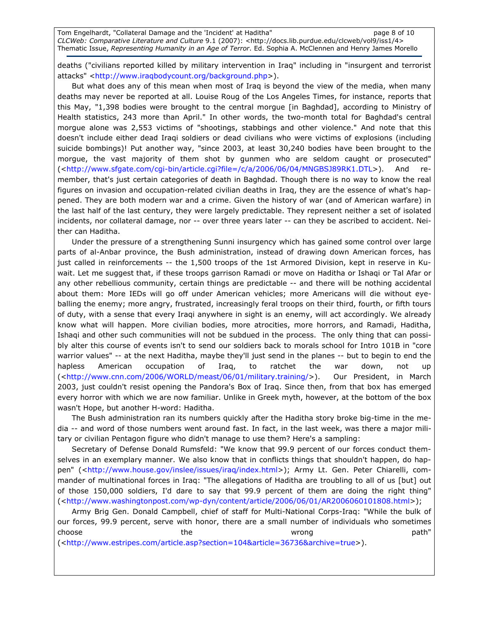Tom Engelhardt, "Collateral Damage and the 'Incident' at Haditha" bage 8 of 10 CLCWeb: Comparative Literature and Culture 9.1 (2007): <http://docs.lib.purdue.edu/clcweb/vol9/iss1/4> Thematic Issue, Representing Humanity in an Age of Terror. Ed. Sophia A. McClennen and Henry James Morello

deaths ("civilians reported killed by military intervention in Iraq" including in "insurgent and terrorist attacks" <http://www.iraqbodycount.org/background.php>).

But what does any of this mean when most of Iraq is beyond the view of the media, when many deaths may never be reported at all. Louise Roug of the Los Angeles Times, for instance, reports that this May, "1,398 bodies were brought to the central morgue [in Baghdad], according to Ministry of Health statistics, 243 more than April." In other words, the two-month total for Baghdad's central morgue alone was 2,553 victims of "shootings, stabbings and other violence." And note that this doesn't include either dead Iraqi soldiers or dead civilians who were victims of explosions (including suicide bombings)! Put another way, "since 2003, at least 30,240 bodies have been brought to the morgue, the vast majority of them shot by gunmen who are seldom caught or prosecuted" (<http://www.sfgate.com/cgi-bin/article.cgi?file=/c/a/2006/06/04/MNGBSJ89RK1.DTL>). And remember, that's just certain categories of death in Baghdad. Though there is no way to know the real figures on invasion and occupation-related civilian deaths in Iraq, they are the essence of what's happened. They are both modern war and a crime. Given the history of war (and of American warfare) in the last half of the last century, they were largely predictable. They represent neither a set of isolated incidents, nor collateral damage, nor -- over three years later -- can they be ascribed to accident. Neither can Haditha.

Under the pressure of a strengthening Sunni insurgency which has gained some control over large parts of al-Anbar province, the Bush administration, instead of drawing down American forces, has just called in reinforcements -- the 1,500 troops of the 1st Armored Division, kept in reserve in Kuwait. Let me suggest that, if these troops garrison Ramadi or move on Haditha or Ishaqi or Tal Afar or any other rebellious community, certain things are predictable -- and there will be nothing accidental about them: More IEDs will go off under American vehicles; more Americans will die without eyeballing the enemy; more angry, frustrated, increasingly feral troops on their third, fourth, or fifth tours of duty, with a sense that every Iraqi anywhere in sight is an enemy, will act accordingly. We already know what will happen. More civilian bodies, more atrocities, more horrors, and Ramadi, Haditha, Ishaqi and other such communities will not be subdued in the process. The only thing that can possibly alter this course of events isn't to send our soldiers back to morals school for Intro 101B in "core warrior values" -- at the next Haditha, maybe they'll just send in the planes -- but to begin to end the hapless American occupation of Iraq, to ratchet the war down, not up (<http://www.cnn.com/2006/WORLD/meast/06/01/military.training/>). Our President, in March 2003, just couldn't resist opening the Pandora's Box of Iraq. Since then, from that box has emerged every horror with which we are now familiar. Unlike in Greek myth, however, at the bottom of the box wasn't Hope, but another H-word: Haditha.

The Bush administration ran its numbers quickly after the Haditha story broke big-time in the media -- and word of those numbers went around fast. In fact, in the last week, was there a major military or civilian Pentagon figure who didn't manage to use them? Here's a sampling:

Secretary of Defense Donald Rumsfeld: "We know that 99.9 percent of our forces conduct themselves in an exemplary manner. We also know that in conflicts things that shouldn't happen, do happen" (<http://www.house.gov/inslee/issues/iraq/index.html>); Army Lt. Gen. Peter Chiarelli, commander of multinational forces in Iraq: "The allegations of Haditha are troubling to all of us [but] out of those 150,000 soldiers, I'd dare to say that 99.9 percent of them are doing the right thing" (<http://www.washingtonpost.com/wp-dyn/content/article/2006/06/01/AR2006060101808.html>);

Army Brig Gen. Donald Campbell, chief of staff for Multi-National Corps-Iraq: "While the bulk of our forces, 99.9 percent, serve with honor, there are a small number of individuals who sometimes choose the the wrong wrong the path"

(<http://www.estripes.com/article.asp?section=104&article=36736&archive=true>).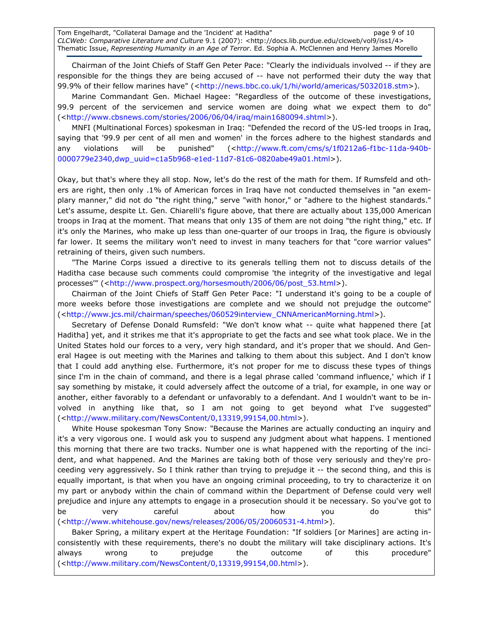Tom Engelhardt, "Collateral Damage and the 'Incident' at Haditha" bage 9 of 10 CLCWeb: Comparative Literature and Culture 9.1 (2007): <http://docs.lib.purdue.edu/clcweb/vol9/iss1/4> Thematic Issue, Representing Humanity in an Age of Terror. Ed. Sophia A. McClennen and Henry James Morello

Chairman of the Joint Chiefs of Staff Gen Peter Pace: "Clearly the individuals involved -- if they are responsible for the things they are being accused of -- have not performed their duty the way that 99.9% of their fellow marines have" (<http://news.bbc.co.uk/1/hi/world/americas/5032018.stm>).

Marine Commandant Gen. Michael Hagee: "Regardless of the outcome of these investigations, 99.9 percent of the servicemen and service women are doing what we expect them to do" (<http://www.cbsnews.com/stories/2006/06/04/iraq/main1680094.shtml>).

MNFI (Multinational Forces) spokesman in Iraq: "Defended the record of the US-led troops in Iraq, saying that '99.9 per cent of all men and women' in the forces adhere to the highest standards and any violations will be punished" (<http://www.ft.com/cms/s/1f0212a6-f1bc-11da-940b-0000779e2340,dwp\_uuid=c1a5b968-e1ed-11d7-81c6-0820abe49a01.html>).

Okay, but that's where they all stop. Now, let's do the rest of the math for them. If Rumsfeld and others are right, then only .1% of American forces in Iraq have not conducted themselves in "an exemplary manner," did not do "the right thing," serve "with honor," or "adhere to the highest standards." Let's assume, despite Lt. Gen. Chiarelli's figure above, that there are actually about 135,000 American troops in Iraq at the moment. That means that only 135 of them are not doing "the right thing," etc. If it's only the Marines, who make up less than one-quarter of our troops in Iraq, the figure is obviously far lower. It seems the military won't need to invest in many teachers for that "core warrior values" retraining of theirs, given such numbers.

 "The Marine Corps issued a directive to its generals telling them not to discuss details of the Haditha case because such comments could compromise 'the integrity of the investigative and legal processes"" (<http://www.prospect.org/horsesmouth/2006/06/post\_53.html>).

 Chairman of the Joint Chiefs of Staff Gen Peter Pace: "I understand it's going to be a couple of more weeks before those investigations are complete and we should not prejudge the outcome" (<http://www.jcs.mil/chairman/speeches/060529interview\_CNNAmericanMorning.html>).

 Secretary of Defense Donald Rumsfeld: "We don't know what -- quite what happened there [at Haditha] yet, and it strikes me that it's appropriate to get the facts and see what took place. We in the United States hold our forces to a very, very high standard, and it's proper that we should. And General Hagee is out meeting with the Marines and talking to them about this subject. And I don't know that I could add anything else. Furthermore, it's not proper for me to discuss these types of things since I'm in the chain of command, and there is a legal phrase called 'command influence,' which if I say something by mistake, it could adversely affect the outcome of a trial, for example, in one way or another, either favorably to a defendant or unfavorably to a defendant. And I wouldn't want to be involved in anything like that, so I am not going to get beyond what I've suggested" (<http://www.military.com/NewsContent/0,13319,99154,00.html>).

 White House spokesman Tony Snow: "Because the Marines are actually conducting an inquiry and it's a very vigorous one. I would ask you to suspend any judgment about what happens. I mentioned this morning that there are two tracks. Number one is what happened with the reporting of the incident, and what happened. And the Marines are taking both of those very seriously and they're proceeding very aggressively. So I think rather than trying to prejudge it -- the second thing, and this is equally important, is that when you have an ongoing criminal proceeding, to try to characterize it on my part or anybody within the chain of command within the Department of Defense could very well prejudice and injure any attempts to engage in a prosecution should it be necessary. So you've got to be very careful about how you do this" (<http://www.whitehouse.gov/news/releases/2006/05/20060531-4.html>).

 Baker Spring, a military expert at the Heritage Foundation: "If soldiers [or Marines] are acting inconsistently with these requirements, there's no doubt the military will take disciplinary actions. It's always wrong to prejudge the outcome of this procedure" (<http://www.military.com/NewsContent/0,13319,99154,00.html>).